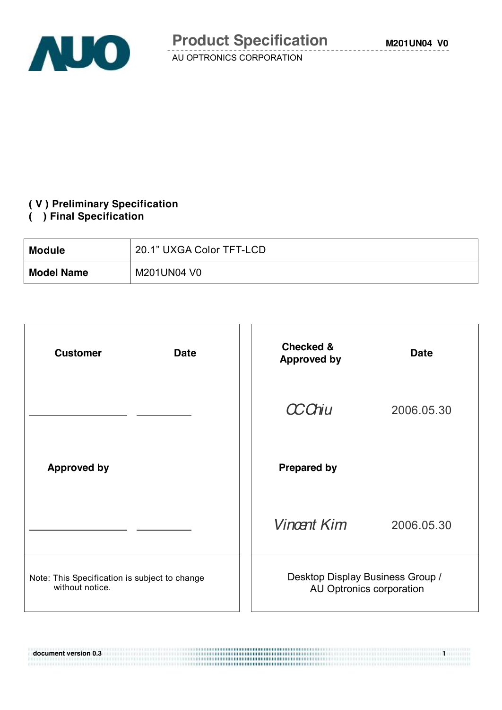

#### **( V ) Preliminary Specification**

#### **( ) Final Specification**

| <b>Module</b>     | 20.1" UXGA Color TFT-LCD |
|-------------------|--------------------------|
| <b>Model Name</b> | M201UN04 V0              |

| <b>Customer</b><br><b>Date</b>                                   | <b>Checked &amp;</b><br><b>Approved by</b>                   | <b>Date</b> |
|------------------------------------------------------------------|--------------------------------------------------------------|-------------|
|                                                                  | <b>CCChiu</b>                                                | 2006.05.30  |
| <b>Approved by</b>                                               | <b>Prepared by</b>                                           |             |
|                                                                  | <b>Vincent Kim</b>                                           | 2006.05.30  |
| Note: This Specification is subject to change<br>without notice. | Desktop Display Business Group /<br>AU Optronics corporation |             |

**document version 0.3 1**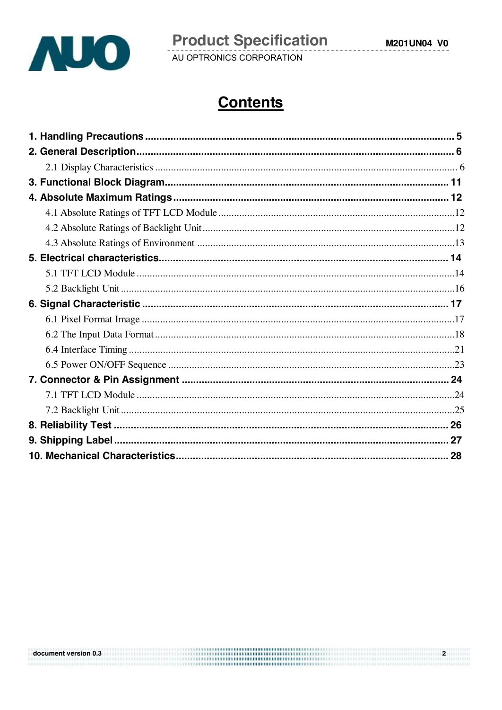

# **Contents**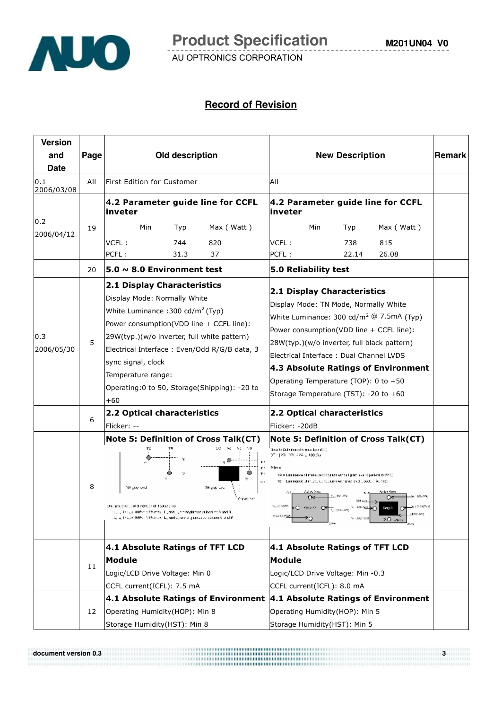

#### **Record of Revision**

| <b>Version</b>     |      |                                                                                                                                                                                                                                                                                                                                                                                           |                                                                                                                                                                                                                                                                                                                                                                                             |        |
|--------------------|------|-------------------------------------------------------------------------------------------------------------------------------------------------------------------------------------------------------------------------------------------------------------------------------------------------------------------------------------------------------------------------------------------|---------------------------------------------------------------------------------------------------------------------------------------------------------------------------------------------------------------------------------------------------------------------------------------------------------------------------------------------------------------------------------------------|--------|
| and                | Page | Old description                                                                                                                                                                                                                                                                                                                                                                           | <b>New Description</b>                                                                                                                                                                                                                                                                                                                                                                      | Remark |
| <b>Date</b>        |      |                                                                                                                                                                                                                                                                                                                                                                                           |                                                                                                                                                                                                                                                                                                                                                                                             |        |
| 0.1 <br>2006/03/08 | All  | lFirst Edition for Customer                                                                                                                                                                                                                                                                                                                                                               | AII                                                                                                                                                                                                                                                                                                                                                                                         |        |
|                    |      | 4.2 Parameter guide line for CCFL<br>inveter                                                                                                                                                                                                                                                                                                                                              | 4.2 Parameter guide line for CCFL<br>inveter                                                                                                                                                                                                                                                                                                                                                |        |
| 0.2                | 19   | Max (Watt)<br>Min<br>Typ                                                                                                                                                                                                                                                                                                                                                                  | Min<br>Max (Watt)<br>Typ                                                                                                                                                                                                                                                                                                                                                                    |        |
| 2006/04/12         |      | VCFL:<br>744<br>820                                                                                                                                                                                                                                                                                                                                                                       | VCFL:<br>815<br>738                                                                                                                                                                                                                                                                                                                                                                         |        |
|                    |      | PCFL:<br>37<br>31.3                                                                                                                                                                                                                                                                                                                                                                       | PCFL:<br>26.08<br>22.14                                                                                                                                                                                                                                                                                                                                                                     |        |
|                    | 20   | 5.0 $\sim$ 8.0 Environment test                                                                                                                                                                                                                                                                                                                                                           | <b>5.0 Reliability test</b>                                                                                                                                                                                                                                                                                                                                                                 |        |
| 0.3<br>2006/05/30  | 5    | 2.1 Display Characteristics<br>Display Mode: Normally White<br>White Luminance : 300 cd/m <sup>2</sup> (Typ)<br>Power consumption(VDD line + CCFL line):<br>29W(typ.)(w/o inverter, full white pattern)<br>Electrical Interface : Even/Odd R/G/B data, 3<br>sync signal, clock<br>Temperature range:<br>Operating:0 to 50, Storage(Shipping): -20 to<br>+60                               | 2.1 Display Characteristics<br>Display Mode: TN Mode, Normally White<br>White Luminance: 300 cd/m <sup>2</sup> @ 7.5mA (Typ)<br>Power consumption(VDD line + CCFL line):<br>28W(typ.)(w/o inverter, full black pattern)<br>Electrical Interface: Dual Channel LVDS<br>4.3 Absolute Ratings of Environment<br>Operating Temperature (TOP): 0 to +50<br>Storage Temperature (TST): -20 to +60 |        |
|                    | 6    | 2.2 Optical characteristics<br>Flicker: --                                                                                                                                                                                                                                                                                                                                                | 2.2 Optical characteristics<br>Flicker: -20dB                                                                                                                                                                                                                                                                                                                                               |        |
|                    | 8    | <b>Note 5: Definition of Cross Talk(CT)</b><br>The Table 1989<br>202<br>174<br>าซ<br>$\mathbf{P}$<br>115<br>10<br>53.9<br>184 g uy Links<br>'84 unu√ swal<br>for your level<br>And percentage of thinens or of 3 Solar 2 top<br>. List a 100% = 10% mms . List and List beginness at location A and R<br>laj la 171, je 1889. – 1899. m. e. Li, kred Li, kred a grupu za zapovan Afond Bi | <b>Note 5: Definition of Cross Talk(CT)</b><br>Now be Delivition of Cross Tark (CT).<br>3TH YB 199.176 x 100 (3)<br>Aless<br>(A = Luminanese of massured location without gray, ave. C pattern (othn)).<br>YE ** Luminance of mass, real teacom with gray, every pactern (contra).<br>Azirbun Azma<br>∝<br>œ<br>NUCDAY.<br><b>STAR</b><br>sev OK                                            |        |
|                    |      | 4.1 Absolute Ratings of TFT LCD                                                                                                                                                                                                                                                                                                                                                           | 4.1 Absolute Ratings of TFT LCD                                                                                                                                                                                                                                                                                                                                                             |        |
|                    | 11   | <b>Module</b>                                                                                                                                                                                                                                                                                                                                                                             | Module                                                                                                                                                                                                                                                                                                                                                                                      |        |
|                    |      | Logic/LCD Drive Voltage: Min 0                                                                                                                                                                                                                                                                                                                                                            | Logic/LCD Drive Voltage: Min -0.3                                                                                                                                                                                                                                                                                                                                                           |        |
|                    |      | CCFL current(ICFL): 7.5 mA                                                                                                                                                                                                                                                                                                                                                                | CCFL current(ICFL): 8.0 mA                                                                                                                                                                                                                                                                                                                                                                  |        |
|                    |      | 4.1 Absolute Ratings of Environment                                                                                                                                                                                                                                                                                                                                                       | 4.1 Absolute Ratings of Environment                                                                                                                                                                                                                                                                                                                                                         |        |
|                    | 12   | Operating Humidity (HOP): Min 8                                                                                                                                                                                                                                                                                                                                                           | Operating Humidity(HOP): Min 5                                                                                                                                                                                                                                                                                                                                                              |        |
|                    |      | Storage Humidity (HST): Min 8                                                                                                                                                                                                                                                                                                                                                             | Storage Humidity(HST): Min 5                                                                                                                                                                                                                                                                                                                                                                |        |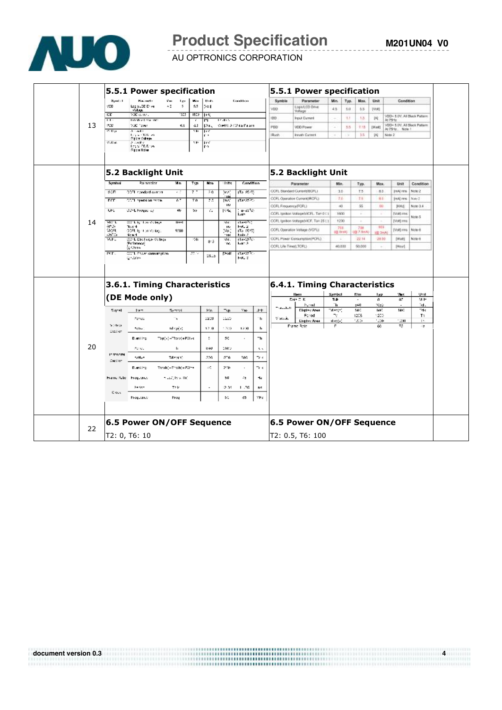

# **Product Specification**

**M201UN04 V0**

AU OPTRONICS CORPORATION

|    |                               |                                                                | 5.5.1 Power specification                                                                                                                                                                                              |                    |                     |                     |                                       |                       | 5.5.1 Power specification             |                          |                 |           |             |                                         |            |
|----|-------------------------------|----------------------------------------------------------------|------------------------------------------------------------------------------------------------------------------------------------------------------------------------------------------------------------------------|--------------------|---------------------|---------------------|---------------------------------------|-----------------------|---------------------------------------|--------------------------|-----------------|-----------|-------------|-----------------------------------------|------------|
|    | <b>Synth</b> 1<br>950         | <b>Backetts</b><br>Legislation of we                           | $\mathbf{C}$ as<br>یم ا<br>42<br>5                                                                                                                                                                                     | W.<br>55           | Units               |                     | Condition                             | Symble                | Parameter                             | M <sub>n</sub>           | Typ.            | Max.      | Unit        | Condition                               |            |
|    |                               | siday.                                                         |                                                                                                                                                                                                                        |                    | 594                 |                     |                                       | VDD                   | Logio1.CD Drive<br>Voltage            | 45                       | 5.0             | 5.5       | [Volt]      |                                         |            |
|    | EC<br>$\overline{\mathbf{u}}$ | 700 caneta<br>tha shivit ha mati                               | ă                                                                                                                                                                                                                      | <b>ED 16</b>       | п                   | 14,445              |                                       | <b>IDD</b>            | Input Current                         | $\sim$                   | 1.1             | 1.3       | 因.          | VDD- 5.0V. All Sluck Pullern<br>At 79Hz |            |
| 13 | PCD.                          | 200 Town                                                       | 成長                                                                                                                                                                                                                     | 4.1                | IM.                 |                     | Virebo, A 172 da Param.               | PDD                   | <b>VDD Power</b>                      | $\overline{\phantom{a}}$ | 5.5             | T 15      | [Waff]      | VDD- 5.0V. All Slack Pattern            |            |
|    | st Bipi                       | A readily                                                      |                                                                                                                                                                                                                        | 15,                | ШÝ                  |                     |                                       | Rush                  |                                       |                          |                 |           |             | At 75°b., Note 1                        |            |
|    |                               | tay victorian<br>First College                                 |                                                                                                                                                                                                                        |                    | C.B                 |                     |                                       |                       | <b>Innah Current</b>                  |                          |                 | 3.5       | W           | Note 2                                  |            |
|    | VLD at                        | a contro<br>Ley of CD Drow<br>Figure Holse                     |                                                                                                                                                                                                                        | 13.                | <b>Try</b><br>l r-a |                     |                                       |                       |                                       |                          |                 |           |             |                                         |            |
|    |                               |                                                                | 5.2 Backlight Unit                                                                                                                                                                                                     |                    |                     |                     |                                       |                       | 5.2 Backlight Unit                    |                          |                 |           |             |                                         |            |
|    | Symbol                        | Pasamalar                                                      | a K                                                                                                                                                                                                                    | Typ                | Nas                 | liths               | Condition                             |                       | Parameter                             | Mks.                     |                 | Typ.      | Max         | Unit                                    | Condition  |
|    | 30F                           | 22EL standard current                                          | c.C                                                                                                                                                                                                                    | $\overline{\cdot}$ | 80                  | W.Y                 | (15.250)                              |                       | CCFL Standard Current(ISCFL)          | 3.0.                     |                 | 7.5       | a.          | (YAA) FITTS                             | Note 2     |
|    | FCF                           | CCEL operation racce.                                          | 67                                                                                                                                                                                                                     | ŦΑ                 | 75                  | 'IM<br>m.           | (Tan25)Ca                             |                       | CCFL Operation Current/RCFL)          | 7.6                      |                 | 7.8       | -8.6        | <b>IVALITY</b>                          | Notel      |
|    |                               |                                                                |                                                                                                                                                                                                                        |                    |                     | H3                  |                                       |                       | CCFL Frequency/FCFL)                  | $-40$                    |                 | $^{55}$   | 60          | HHd                                     | Note 3.4   |
|    | UHL                           | OS-E hiegae ey                                                 | $\omega$                                                                                                                                                                                                               | 99                 | r.                  | 1544.               | بن^±ء−ن<br>h otto                     |                       | CCFL ignition Voltage/VCFL, Tam 0 [1] | 1600                     |                 | ÷         | $\sim$      | (Volt) and                              |            |
|    |                               |                                                                |                                                                                                                                                                                                                        |                    |                     |                     |                                       |                       | CCFL Ignition Voltage(VICF, Tax 25 L) | 1290                     |                 | $\sim$    | ÷           | [Volt] mea                              | Note 5     |
| 14 | WC L<br>ana.                  | COTL by Lon Volkege<br><b>Water 4</b>                          | <b>Hast</b>                                                                                                                                                                                                            |                    |                     | W.<br>IF.           | rta-PC)<br>NG 2                       |                       |                                       |                          | 788             | 738       | 905         |                                         |            |
|    | 99 FL<br>25°C)                | ODFL ig 11 00 Vollage<br>4: 81                                 | 1280                                                                                                                                                                                                                   |                    |                     | Nol.<br><b>'1M</b>  | (To 2010)<br>hade 2                   |                       | CCFL Operation Voltage (VCFL)         |                          | <b>IG SreAL</b> | 008 7.5mM | (@ SmA)     | [Volt] mis                              | Note 6     |
|    | <b>WEL</b>                    | CCFL Discharge Volkige                                         |                                                                                                                                                                                                                        | 126                | 8.2                 | W.<br>W.            | rta-180-<br>kom 3.                    |                       | CCFL Power Consumption(PCFL)          | ÷                        |                 | 22.14     | 28.90       | [Walt]                                  | Note 6     |
|    |                               |                                                                |                                                                                                                                                                                                                        |                    |                     |                     |                                       |                       |                                       | 40,000                   |                 |           |             |                                         |            |
|    | PCFL.                         | Peferonce)<br>ig Chris<br>CCTL Power companyplices.<br>gelanne |                                                                                                                                                                                                                        | 22.5               | 1815                | Test                | Tar25 Ca<br>NOL 2                     | CCFL Life Time(LTCFL) |                                       |                          |                 | 60,000    | $\sim$      | [Hour]                                  |            |
|    |                               |                                                                | 3.6.1. Timing Characteristics                                                                                                                                                                                          |                    |                     |                     |                                       |                       | 6.4.1. Timing Characteristics         |                          |                 |           |             |                                         |            |
|    |                               |                                                                |                                                                                                                                                                                                                        |                    |                     |                     |                                       |                       | llan                                  | Symbol                   |                 | Mm        | 1yp         | Vius.                                   | Uril       |
|    |                               | (DE Mode only)                                                 |                                                                                                                                                                                                                        |                    |                     |                     |                                       |                       | Dain C. K.                            | Tr.Br<br>ъ               |                 | 540       | a           | 65                                      | M H        |
|    | Signal                        | $1: P \rightarrow$                                             | Symbol                                                                                                                                                                                                                 |                    | Min.                | $\neg$ $\mathbf{r}$ | $\mathcal{V}_{\mathbf{R}\mathcal{C}}$ | The Callett<br>$+1$   | Portal<br><b>Display Area</b>         | Masjo)                   |                 | HF.       | 10:0<br>ыv. | NF.                                     | īd.<br>7dk |
|    |                               | Perkee                                                         | ÷,                                                                                                                                                                                                                     |                    | 1208                | 1150                |                                       | Visco A.<br>ъ         | Forfod                                | Ty.                      |                 | 1205      | 1230        |                                         | T٦         |
|    | $\sim 30\, {\rm G}$           |                                                                |                                                                                                                                                                                                                        |                    |                     |                     |                                       |                       | Digity And<br>Frame Rate              | theoly.<br>Е             |                 | 1200      | 1200<br>60  | 1000<br>75.                             | D.<br>-12  |
|    | Staller                       | 50kg                                                           | to spec                                                                                                                                                                                                                |                    | 12.0                | 1200                | 1250                                  | ħ                     |                                       |                          |                 |           |             |                                         |            |
|    |                               | Diambing.                                                      | Top(v)="Torv(+PWvs                                                                                                                                                                                                     |                    | ÷.                  | 20                  | $\cdot$                               | -h                    |                                       |                          |                 |           |             |                                         |            |
|    |                               |                                                                |                                                                                                                                                                                                                        |                    |                     |                     |                                       |                       |                                       |                          |                 |           |             |                                         |            |
| 20 | <b>Initrodesi</b>             | Person                                                         | л.                                                                                                                                                                                                                     |                    | 840                 | 1080                |                                       | A.                    |                                       |                          |                 |           |             |                                         |            |
|    | Section.                      | tatter                                                         | Talen(n)                                                                                                                                                                                                               |                    | 500                 | ato.                | 509                                   | $\mathcal{L}$         |                                       |                          |                 |           |             |                                         |            |
|    |                               | Dismitted                                                      | $\textcolor{blue}{\mathsf{Third}(h)}\textcolor{blue}{-}\textcolor{blue}{\mathsf{T}^*\textcolor{blue}{\mathsf{t}(h)}}\textcolor{blue}{+}\textcolor{blue}{\mathsf{F}H\textcolor{blue}{\mathsf{T}^*\textcolor{blue}{t}}}$ |                    | 40                  | 230.                | $\cdot$                               | $\mathbf{r}$          |                                       |                          |                 |           |             |                                         |            |
|    |                               |                                                                |                                                                                                                                                                                                                        |                    |                     |                     |                                       |                       |                                       |                          |                 |           |             |                                         |            |
|    | Francillate                   | hoquator                                                       | n Jadjilo v Hri                                                                                                                                                                                                        |                    |                     | 50                  | 42                                    | ٦c                    |                                       |                          |                 |           |             |                                         |            |
|    |                               | Dar Sere                                                       | Tt k                                                                                                                                                                                                                   |                    | ٠                   | 2.31                | 11.76                                 | nε                    |                                       |                          |                 |           |             |                                         |            |
|    | Clock                         | Programati                                                     | hw                                                                                                                                                                                                                     |                    |                     | 61                  | 45                                    | VH.                   |                                       |                          |                 |           |             |                                         |            |
|    |                               |                                                                |                                                                                                                                                                                                                        |                    |                     |                     |                                       |                       |                                       |                          |                 |           |             |                                         |            |
|    |                               |                                                                | 6.5 Power ON/OFF Sequence                                                                                                                                                                                              |                    |                     |                     |                                       |                       | 6.5 Power ON/OFF Sequence             |                          |                 |           |             |                                         |            |
| 22 |                               | T2: 0, T6: 10                                                  |                                                                                                                                                                                                                        |                    |                     |                     |                                       |                       | T2: 0.5, T6: 100                      |                          |                 |           |             |                                         |            |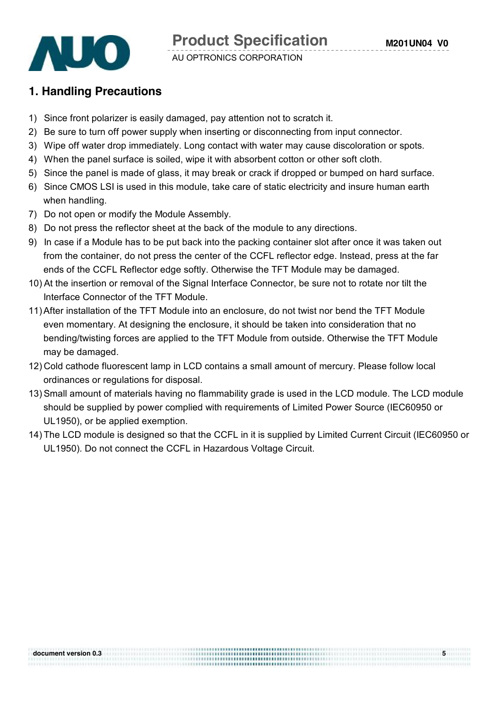

#### **1. Handling Precautions**

- 1) Since front polarizer is easily damaged, pay attention not to scratch it.
- 2) Be sure to turn off power supply when inserting or disconnecting from input connector.
- 3) Wipe off water drop immediately. Long contact with water may cause discoloration or spots.
- 4) When the panel surface is soiled, wipe it with absorbent cotton or other soft cloth.
- 5) Since the panel is made of glass, it may break or crack if dropped or bumped on hard surface.
- 6) Since CMOS LSI is used in this module, take care of static electricity and insure human earth when handling.
- 7) Do not open or modify the Module Assembly.
- 8) Do not press the reflector sheet at the back of the module to any directions.

- 9) In case if a Module has to be put back into the packing container slot after once it was taken out from the container, do not press the center of the CCFL reflector edge. Instead, press at the far ends of the CCFL Reflector edge softly. Otherwise the TFT Module may be damaged.
- 10) At the insertion or removal of the Signal Interface Connector, be sure not to rotate nor tilt the Interface Connector of the TFT Module.
- 11)After installation of the TFT Module into an enclosure, do not twist nor bend the TFT Module even momentary. At designing the enclosure, it should be taken into consideration that no bending/twisting forces are applied to the TFT Module from outside. Otherwise the TFT Module may be damaged.
- 12) Cold cathode fluorescent lamp in LCD contains a small amount of mercury. Please follow local ordinances or regulations for disposal.
- 13) Small amount of materials having no flammability grade is used in the LCD module. The LCD module should be supplied by power complied with requirements of Limited Power Source (IEC60950 or UL1950), or be applied exemption.
- 14) The LCD module is designed so that the CCFL in it is supplied by Limited Current Circuit (IEC60950 or UL1950). Do not connect the CCFL in Hazardous Voltage Circuit.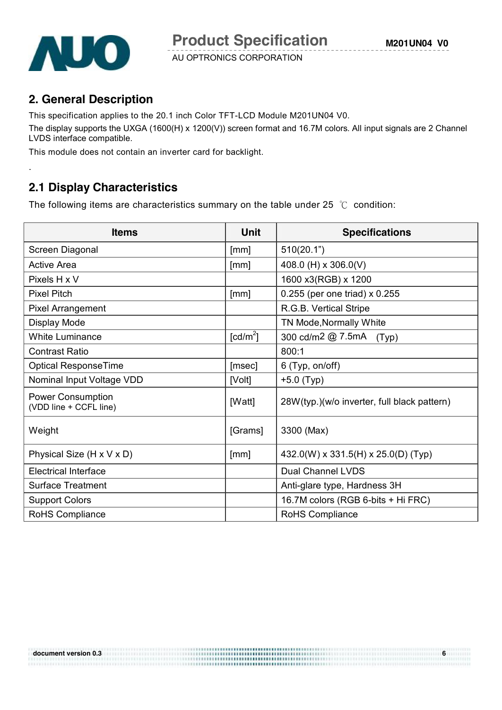

.

AU OPTRONICS CORPORATION

### **2. General Description**

This specification applies to the 20.1 inch Color TFT-LCD Module M201UN04 V0.

The display supports the UXGA (1600(H) x 1200(V)) screen format and 16.7M colors. All input signals are 2 Channel LVDS interface compatible.

This module does not contain an inverter card for backlight.

# **2.1 Display Characteristics**

The following items are characteristics summary on the table under 25 ℃ condition:

| <b>Items</b>                                       | <b>Unit</b>          | <b>Specifications</b>                       |
|----------------------------------------------------|----------------------|---------------------------------------------|
| Screen Diagonal                                    | [mm]                 | 510(20.1")                                  |
| <b>Active Area</b>                                 | [mm]                 | 408.0 (H) x 306.0(V)                        |
| Pixels H x V                                       |                      | 1600 x3(RGB) x 1200                         |
| <b>Pixel Pitch</b>                                 | [mm]                 | 0.255 (per one triad) x 0.255               |
| <b>Pixel Arrangement</b>                           |                      | R.G.B. Vertical Stripe                      |
| Display Mode                                       |                      | TN Mode, Normally White                     |
| <b>White Luminance</b>                             | [cd/m <sup>2</sup> ] | 300 cd/m2 @ 7.5mA<br>(Typ)                  |
| <b>Contrast Ratio</b>                              |                      | 800:1                                       |
| Optical ResponseTime                               | [msec]               | 6 (Typ, on/off)                             |
| Nominal Input Voltage VDD                          | [Volt]               | $+5.0$ (Typ)                                |
| <b>Power Consumption</b><br>(VDD line + CCFL line) | [Watt]               | 28W(typ.)(w/o inverter, full black pattern) |
| Weight                                             | [Grams]              | 3300 (Max)                                  |
| Physical Size (H x V x D)                          | [mm]                 | 432.0(W) x 331.5(H) x 25.0(D) (Typ)         |
| <b>Electrical Interface</b>                        |                      | <b>Dual Channel LVDS</b>                    |
| <b>Surface Treatment</b>                           |                      | Anti-glare type, Hardness 3H                |
| <b>Support Colors</b>                              |                      | 16.7M colors (RGB 6-bits + Hi FRC)          |
| <b>RoHS Compliance</b>                             |                      | <b>RoHS Compliance</b>                      |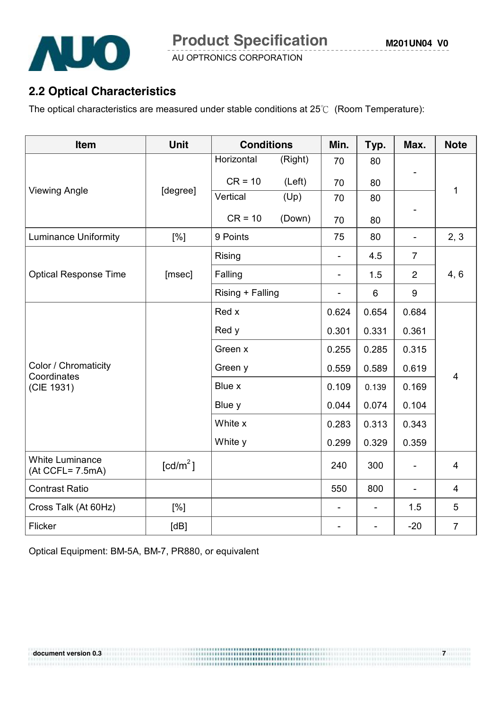

### **2.2 Optical Characteristics**

The optical characteristics are measured under stable conditions at 25℃ (Room Temperature):

| Item                                       | <b>Unit</b>            | <b>Conditions</b>       | Min.    | Typ.           | Max.                     | <b>Note</b>              |                |  |
|--------------------------------------------|------------------------|-------------------------|---------|----------------|--------------------------|--------------------------|----------------|--|
|                                            |                        | Horizontal              | (Right) | 70             | 80                       |                          |                |  |
|                                            |                        | $CR = 10$               | (Left)  | 70             | 80                       |                          |                |  |
| <b>Viewing Angle</b>                       | [degree]               | Vertical                | (Up)    | 70             | 80                       |                          | 1              |  |
|                                            |                        | $CR = 10$               | (Down)  | 70             | 80                       |                          |                |  |
| <b>Luminance Uniformity</b>                | [%]                    | 9 Points                |         | 75             | 80                       | $\overline{\phantom{a}}$ | 2, 3           |  |
|                                            |                        | Rising                  |         |                | 4.5                      | $\overline{7}$           |                |  |
| <b>Optical Response Time</b>               | [msec]                 | Falling                 |         | $\blacksquare$ | 1.5                      | $\overline{2}$           | 4, 6           |  |
|                                            |                        | Rising + Falling        |         | $\blacksquare$ | 6                        | $\boldsymbol{9}$         |                |  |
|                                            |                        | Red x                   |         | 0.624          | 0.654                    | 0.684                    |                |  |
|                                            |                        | Red y<br>0.331<br>0.301 |         | 0.361          |                          |                          |                |  |
|                                            |                        | Green x                 |         | 0.255          | 0.285                    | 0.315                    |                |  |
| Color / Chromaticity                       |                        | Green y                 |         | 0.559          | 0.589                    | 0.619                    |                |  |
| Coordinates<br>(CIE 1931)                  |                        | Blue x                  |         | 0.109          | 0.139                    | 0.169                    | $\overline{4}$ |  |
|                                            |                        | Blue y                  |         | 0.044          | 0.074                    | 0.104                    |                |  |
|                                            |                        | White x                 |         | 0.283          | 0.313                    | 0.343                    |                |  |
|                                            |                        | White y                 |         | 0.299          | 0.329                    | 0.359                    |                |  |
| <b>White Luminance</b><br>(At CCFL= 7.5mA) | $\lceil cd/m^2 \rceil$ |                         |         | 240            | 300                      | $\overline{\phantom{a}}$ | $\overline{4}$ |  |
| <b>Contrast Ratio</b>                      |                        |                         |         | 550            | 800                      |                          | 4              |  |
| Cross Talk (At 60Hz)                       | [%]                    |                         |         |                | $\overline{\phantom{a}}$ | 1.5                      | 5              |  |
| Flicker                                    | [dB]                   |                         |         |                |                          | $-20$                    | $\overline{7}$ |  |

Optical Equipment: BM-5A, BM-7, PR880, or equivalent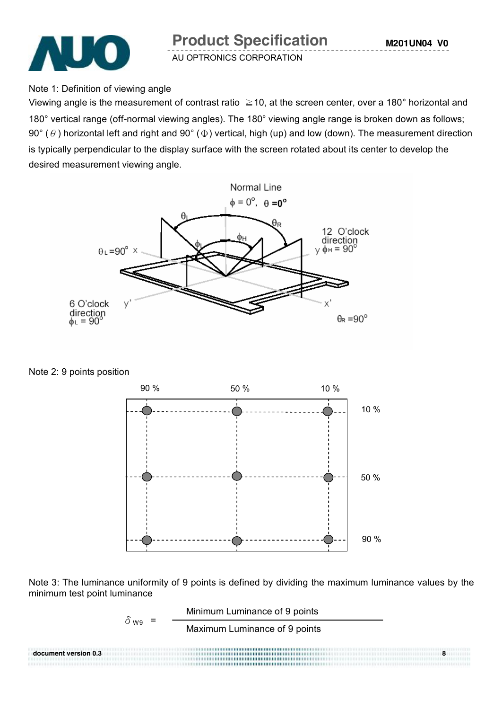

Note 1: Definition of viewing angle

Viewing angle is the measurement of contrast ratio  $\geq$  10, at the screen center, over a 180° horizontal and 180° vertical range (off-normal viewing angles). The 180° viewing angle range is broken down as follows; 90° ( $\theta$ ) horizontal left and right and 90° ( $\Phi$ ) vertical, high (up) and low (down). The measurement direction is typically perpendicular to the display surface with the screen rotated about its center to develop the desired measurement viewing angle.



Note 2: 9 points position



Note 3: The luminance uniformity of 9 points is defined by dividing the maximum luminance values by the minimum test point luminance

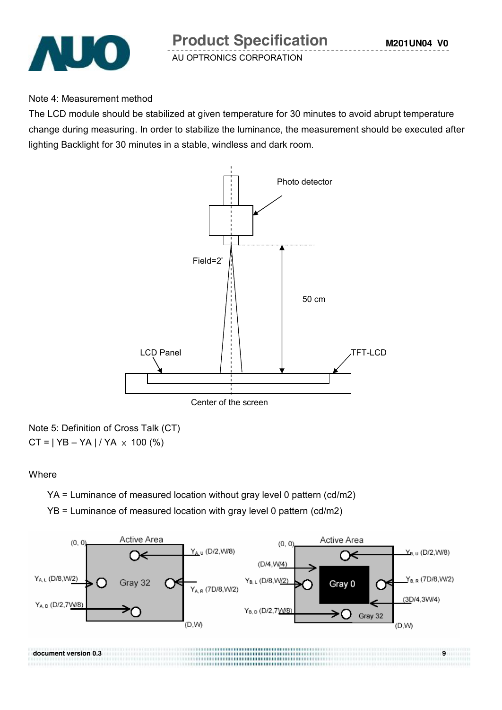

#### Note 4: Measurement method

The LCD module should be stabilized at given temperature for 30 minutes to avoid abrupt temperature change during measuring. In order to stabilize the luminance, the measurement should be executed after lighting Backlight for 30 minutes in a stable, windless and dark room.



Note 5: Definition of Cross Talk (CT)  $CT = | YB - YA | / YA \times 100 (%)$ 

#### **Where**

YA = Luminance of measured location without gray level 0 pattern (cd/m2)

YB = Luminance of measured location with gray level 0 pattern (cd/m2)

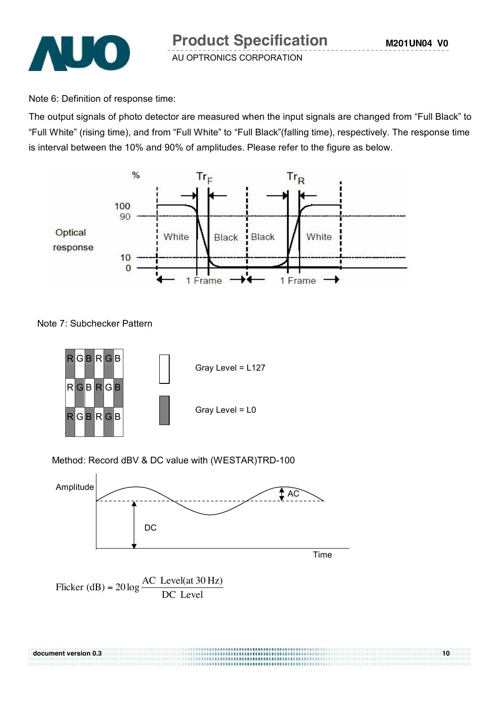

Note 6: Definition of response time:

The output signals of photo detector are measured when the input signals are changed from "Full Black" to "Full White" (rising time), and from "Full White" to "Full Black"(falling time), respectively. The response time is interval between the 10% and 90% of amplitudes. Please refer to the figure as below.



Note 7: Subchecker Pattern



#### Method: Record dBV & DC value with (WESTAR)TRD-100



Flicker (dB) =  $20 \log \frac{100 \text{ EV}}{DC}$  Level Flicker (dB) =  $20 \log \frac{AC \text{ Level(at 30 Hz)}}{DG \text{ L}}$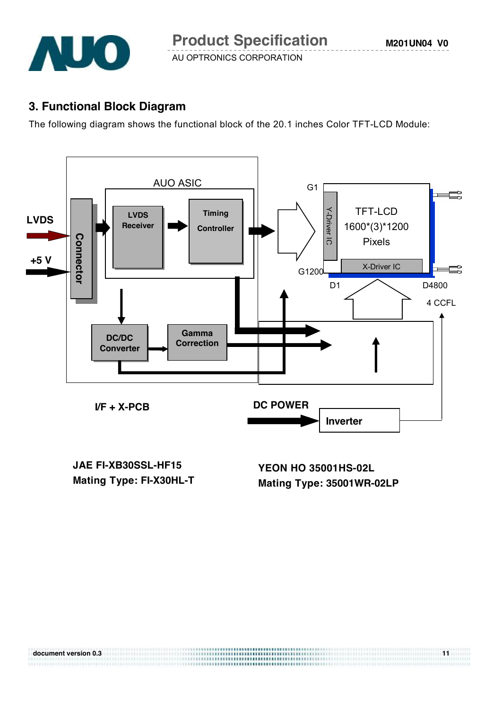

### **3. Functional Block Diagram**

The following diagram shows the functional block of the 20.1 inches Color TFT-LCD Module:



**JAE FI-XB30SSL-HF15 Mating Type: FI-X30HL-T**

**YEON HO 35001HS-02L Mating Type: 35001WR-02LP**

| document version 0.3 |  |
|----------------------|--|
|                      |  |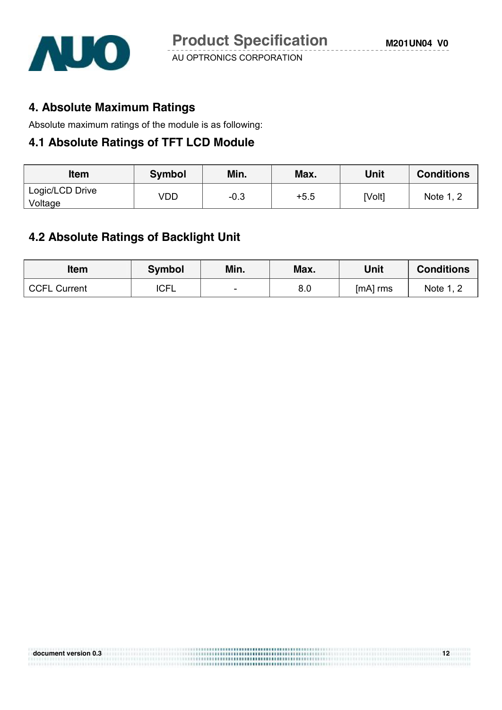

### **4. Absolute Maximum Ratings**

Absolute maximum ratings of the module is as following:

#### **4.1 Absolute Ratings of TFT LCD Module**

| <b>Item</b>                | <b>Symbol</b> | Min.   | Max.   | Unit   | <b>Conditions</b> |
|----------------------------|---------------|--------|--------|--------|-------------------|
| Logic/LCD Drive<br>Voltage | VDD           | $-0.3$ | $+5.5$ | [Volt] | Note 1, 2         |

# **4.2 Absolute Ratings of Backlight Unit**

| <b>Item</b>         | <b>Symbol</b> | Min.                     | Max. | Unit     | <b>Conditions</b> |
|---------------------|---------------|--------------------------|------|----------|-------------------|
| <b>CCFL Current</b> | <b>ICFL</b>   | $\overline{\phantom{0}}$ | 8.0  | [mA] rms | Note 1, 2         |

**document version of the contract version of the contract version of the contract version of the contract version of the contract version of the contract version of the contract version of the contract version of the contr** 

| document version 0.3 |  |
|----------------------|--|
|                      |  |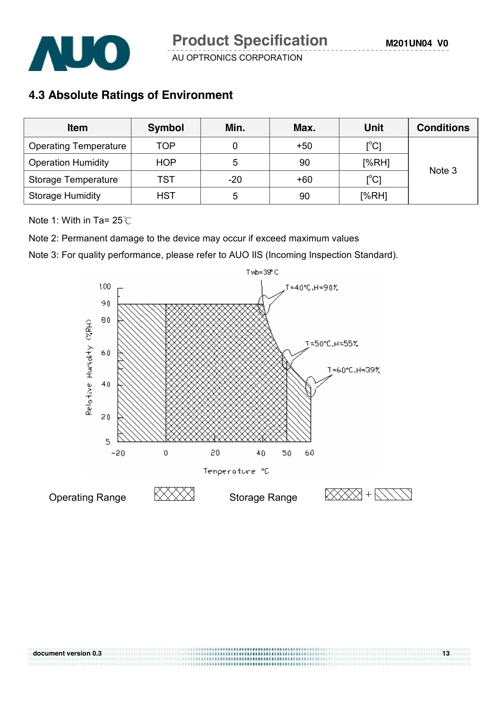

### **4.3 Absolute Ratings of Environment**

| <b>Item</b>                  | <b>Symbol</b> | Min.  | Max.  | <b>Unit</b>                | <b>Conditions</b> |
|------------------------------|---------------|-------|-------|----------------------------|-------------------|
| <b>Operating Temperature</b> | TOP           |       | $+50$ | $[^{\circ}\mathrm{C}]$     |                   |
| <b>Operation Humidity</b>    | <b>HOP</b>    | 5     | 90    | [%RH]                      | Note 3            |
| Storage Temperature          | <b>TST</b>    | $-20$ | +60   | $\mathop{\rm l}{\rm ^oC1}$ |                   |
| <b>Storage Humidity</b>      | <b>HST</b>    | 5     | 90    | [%RH]                      |                   |

Note 1: With in Ta= 25℃

Note 2: Permanent damage to the device may occur if exceed maximum values

Note 3: For quality performance, please refer to AUO IIS (Incoming Inspection Standard).

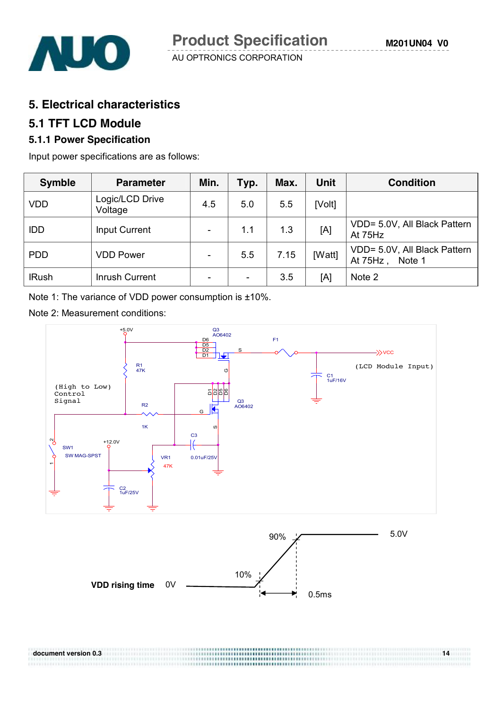

#### **5. Electrical characteristics**

#### **5.1 TFT LCD Module**

#### **5.1.1 Power Specification**

Input power specifications are as follows:

| <b>Symble</b> | <b>Parameter</b>           | Min.                     | Typ. | Max. | Unit   | <b>Condition</b>                                   |
|---------------|----------------------------|--------------------------|------|------|--------|----------------------------------------------------|
| <b>VDD</b>    | Logic/LCD Drive<br>Voltage | 4.5                      | 5.0  | 5.5  | [Volt] |                                                    |
| <b>IDD</b>    | <b>Input Current</b>       | $\overline{\phantom{a}}$ | 1.1  | 1.3  | [A]    | VDD= 5.0V, All Black Pattern<br>At 75Hz            |
| <b>PDD</b>    | <b>VDD Power</b>           | $\overline{\phantom{a}}$ | 5.5  | 7.15 | [Watt] | VDD= 5.0V, All Black Pattern<br>At 75Hz,<br>Note 1 |
| <b>IRush</b>  | <b>Inrush Current</b>      | $\overline{\phantom{a}}$ |      | 3.5  | [A]    | Note 2                                             |

Note 1: The variance of VDD power consumption is ±10%.

Note 2: Measurement conditions:



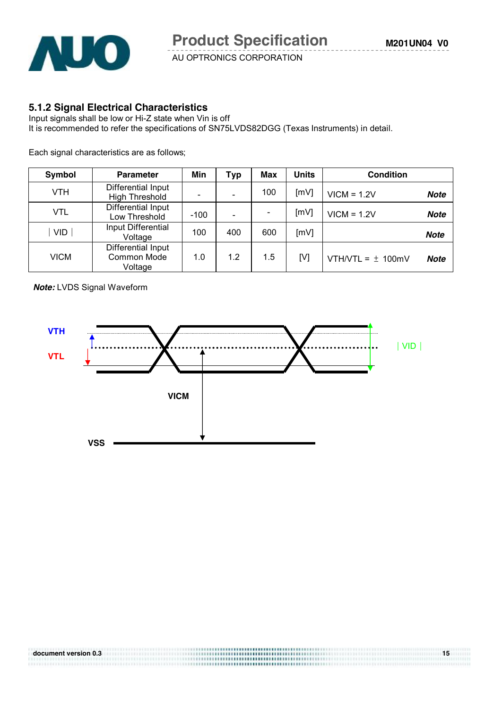

#### **5.1.2 Signal Electrical Characteristics**

Input signals shall be low or Hi-Z state when Vin is off It is recommended to refer the specifications of SN75LVDS82DGG (Texas Instruments) in detail.

Each signal characteristics are as follows;

| Symbol     | <b>Parameter</b>                             | Min            | <b>Typ</b> | Max           | <b>Units</b> | <b>Condition</b>      |             |
|------------|----------------------------------------------|----------------|------------|---------------|--------------|-----------------------|-------------|
| <b>VTH</b> | Differential Input<br><b>High Threshold</b>  |                |            | 100           | [mV]         | $VICM = 1.2V$         | Note        |
| <b>VTL</b> | Differential Input<br>Low Threshold          | [mV]<br>$-100$ |            | $VICM = 1.2V$ | <b>Note</b>  |                       |             |
| <b>VID</b> | Input Differential<br>Voltage                | 100            | 400        | 600           | [mV]         |                       | <b>Note</b> |
| VICM       | Differential Input<br>Common Mode<br>Voltage | 1.0            | 1.2        | 1.5           | [V]          | VTH/VTL = $\pm$ 100mV | <b>Note</b> |

*Note:* LVDS Signal Waveform



**document version 0.3** 15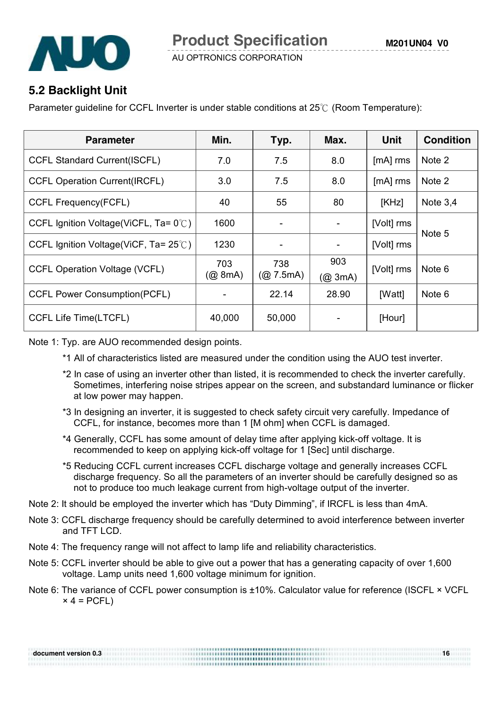

### **5.2 Backlight Unit**

Parameter guideline for CCFL Inverter is under stable conditions at 25℃ (Room Temperature):

| <b>Parameter</b>                                | Min.                    | Typ.             | Max.                        | <b>Unit</b> | <b>Condition</b> |  |
|-------------------------------------------------|-------------------------|------------------|-----------------------------|-------------|------------------|--|
| <b>CCFL Standard Current(ISCFL)</b>             | 7.0                     | 7.5              | 8.0                         | $[mA]$ rms  | Note 2           |  |
| <b>CCFL Operation Current(IRCFL)</b>            | 3.0                     | 7.5              | 8.0                         | [mA] rms    | Note 2           |  |
| <b>CCFL Frequency(FCFL)</b>                     | 40                      | 55               | 80                          | KHz         | Note $3,4$       |  |
| CCFL Ignition Voltage(ViCFL, Ta= $0^{\circ}$ C) | 1600                    | ۰                |                             | [Volt] rms  |                  |  |
| CCFL Ignition Voltage(ViCF, Ta= $25^{\circ}$ C) | 1230                    | ۰                |                             | [Volt] rms  | Note 5           |  |
| <b>CCFL Operation Voltage (VCFL)</b>            | 703<br>$(Q\otimes$ 8mA) | 738<br>(Q 7.5mA) | 903<br>(Q <sub>0</sub> 3mA) | [Volt] rms  | Note 6           |  |
| <b>CCFL Power Consumption(PCFL)</b>             |                         | 22.14            | 28.90                       | [Watt]      | Note 6           |  |
| <b>CCFL Life Time(LTCFL)</b>                    | 40,000                  | 50,000           |                             | [Hour]      |                  |  |

Note 1: Typ. are AUO recommended design points.

- \*1 All of characteristics listed are measured under the condition using the AUO test inverter.
- \*2 In case of using an inverter other than listed, it is recommended to check the inverter carefully. Sometimes, interfering noise stripes appear on the screen, and substandard luminance or flicker at low power may happen.
- \*3 In designing an inverter, it is suggested to check safety circuit very carefully. Impedance of CCFL, for instance, becomes more than 1 [M ohm] when CCFL is damaged.
- \*4 Generally, CCFL has some amount of delay time after applying kick-off voltage. It is recommended to keep on applying kick-off voltage for 1 [Sec] until discharge.
- \*5 Reducing CCFL current increases CCFL discharge voltage and generally increases CCFL discharge frequency. So all the parameters of an inverter should be carefully designed so as not to produce too much leakage current from high-voltage output of the inverter.
- Note 2: It should be employed the inverter which has "Duty Dimming", if IRCFL is less than 4mA.
- Note 3: CCFL discharge frequency should be carefully determined to avoid interference between inverter and TFT LCD.
- Note 4: The frequency range will not affect to lamp life and reliability characteristics.
- Note 5: CCFL inverter should be able to give out a power that has a generating capacity of over 1,600 voltage. Lamp units need 1,600 voltage minimum for ignition.
- Note 6: The variance of CCFL power consumption is ±10%. Calculator value for reference (ISCFL × VCFL  $\times$  4 = PCFL)

| document version 0.3 | 16 |
|----------------------|----|
|                      |    |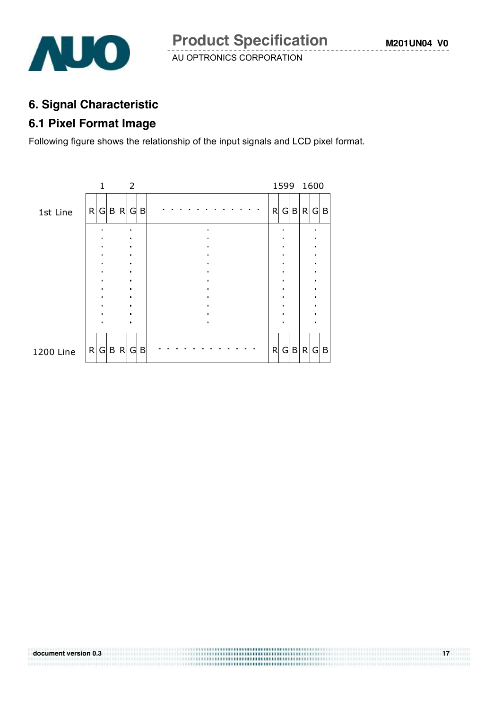

**document version 0.3** 17

### **6. Signal Characteristic**

# **6.1 Pixel Format Image**

Following figure shows the relationship of the input signals and LCD pixel format.

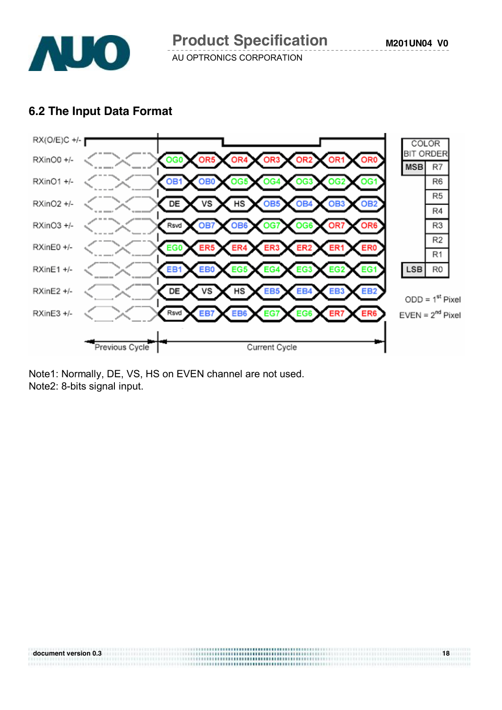

### **6.2 The Input Data Format**



Note1: Normally, DE, VS, HS on EVEN channel are not used. Note2: 8-bits signal input.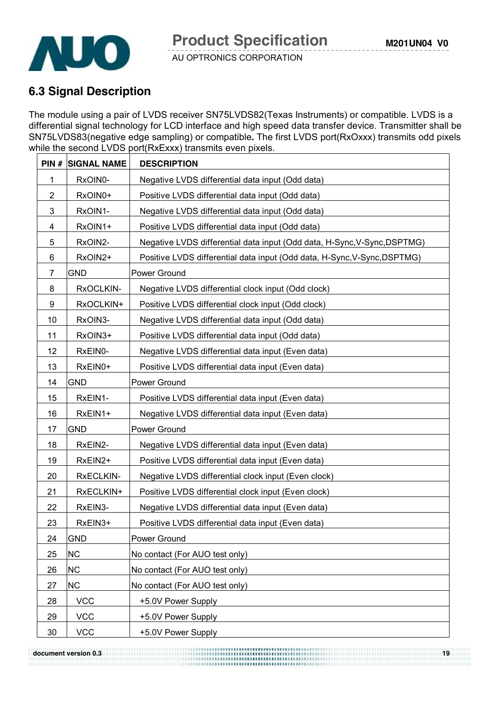

### **6.3 Signal Description**

The module using a pair of LVDS receiver SN75LVDS82(Texas Instruments) or compatible. LVDS is a differential signal technology for LCD interface and high speed data transfer device. Transmitter shall be SN75LVDS83(negative edge sampling) or compatible**.** The first LVDS port(RxOxxx) transmits odd pixels while the second LVDS port(RxExxx) transmits even pixels.

| PIN#           | <b>SIGNAL NAME</b> | <b>DESCRIPTION</b>                                                       |
|----------------|--------------------|--------------------------------------------------------------------------|
| 1              | RxOIN0-            | Negative LVDS differential data input (Odd data)                         |
| $\overline{2}$ | RxOIN0+            | Positive LVDS differential data input (Odd data)                         |
| 3              | RxOIN1-            | Negative LVDS differential data input (Odd data)                         |
| 4              | RxOIN1+            | Positive LVDS differential data input (Odd data)                         |
| 5              | RxOIN2-            | Negative LVDS differential data input (Odd data, H-Sync, V-Sync, DSPTMG) |
| 6              | RxOIN2+            | Positive LVDS differential data input (Odd data, H-Sync, V-Sync, DSPTMG) |
| 7              | <b>GND</b>         | Power Ground                                                             |
| 8              | RxOCLKIN-          | Negative LVDS differential clock input (Odd clock)                       |
| 9              | RxOCLKIN+          | Positive LVDS differential clock input (Odd clock)                       |
| 10             | RxOIN3-            | Negative LVDS differential data input (Odd data)                         |
| 11             | RxOIN3+            | Positive LVDS differential data input (Odd data)                         |
| 12             | RxEIN0-            | Negative LVDS differential data input (Even data)                        |
| 13             | RxEIN0+            | Positive LVDS differential data input (Even data)                        |
| 14             | <b>GND</b>         | Power Ground                                                             |
| 15             | RxEIN1-            | Positive LVDS differential data input (Even data)                        |
| 16             | RxEIN1+            | Negative LVDS differential data input (Even data)                        |
| 17             | <b>GND</b>         | Power Ground                                                             |
| 18             | RxEIN2-            | Negative LVDS differential data input (Even data)                        |
| 19             | RxEIN2+            | Positive LVDS differential data input (Even data)                        |
| 20             | RxECLKIN-          | Negative LVDS differential clock input (Even clock)                      |
| 21             | RxECLKIN+          | Positive LVDS differential clock input (Even clock)                      |
| 22             | RxEIN3-            | Negative LVDS differential data input (Even data)                        |
| 23             | RxEIN3+            | Positive LVDS differential data input (Even data)                        |
| 24             | <b>GND</b>         | Power Ground                                                             |
| 25             | <b>NC</b>          | No contact (For AUO test only)                                           |
| 26             | <b>NC</b>          | No contact (For AUO test only)                                           |
| 27             | <b>NC</b>          | No contact (For AUO test only)                                           |
| 28             | <b>VCC</b>         | +5.0V Power Supply                                                       |
| 29             | <b>VCC</b>         | +5.0V Power Supply                                                       |
| 30             | <b>VCC</b>         | +5.0V Power Supply                                                       |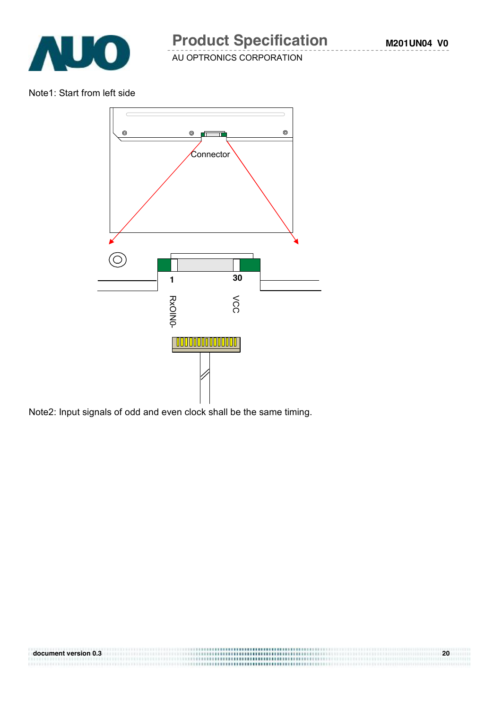

Note1: Start from left side



**document version 0.3** 20

Note2: Input signals of odd and even clock shall be the same timing.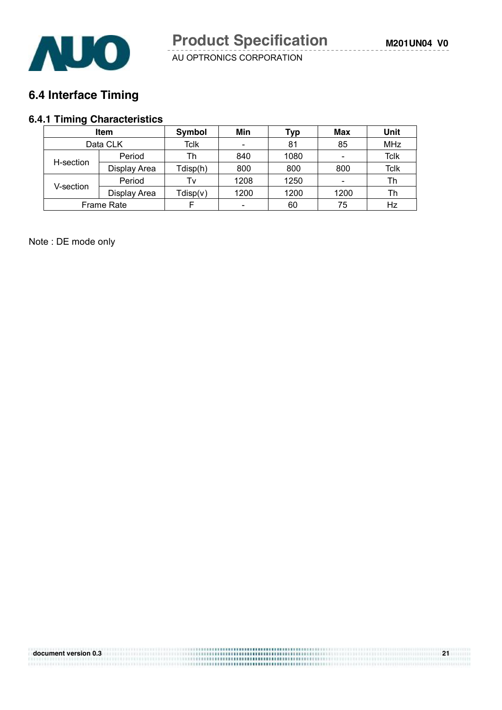

# **6.4 Interface Timing**

# **6.4.1 Timing Characteristics**

| <b>Item</b> |              | <b>Symbol</b> | Min  | Typ  | Max  | Unit        |
|-------------|--------------|---------------|------|------|------|-------------|
|             | Data CLK     |               |      | 81   | 85   | <b>MHz</b>  |
|             | Period       | Th            | 840  | 1080 |      | <b>Tclk</b> |
| H-section   | Display Area | Tdisp(h)      | 800  | 800  | 800  | <b>Tclk</b> |
|             | Period       | Tv            | 1208 | 1250 |      | Th          |
| V-section   | Display Area | Tdisp(v)      | 1200 | 1200 | 1200 | Th          |
|             | Frame Rate   |               |      | 60   | 75   | Hz          |

Note : DE mode only

| document version 0.3 | ,,,,,,,,,,,,,,,,,,,,,,,,,,,,,,,,,,,, | n- |
|----------------------|--------------------------------------|----|
|                      | <b></b>                              |    |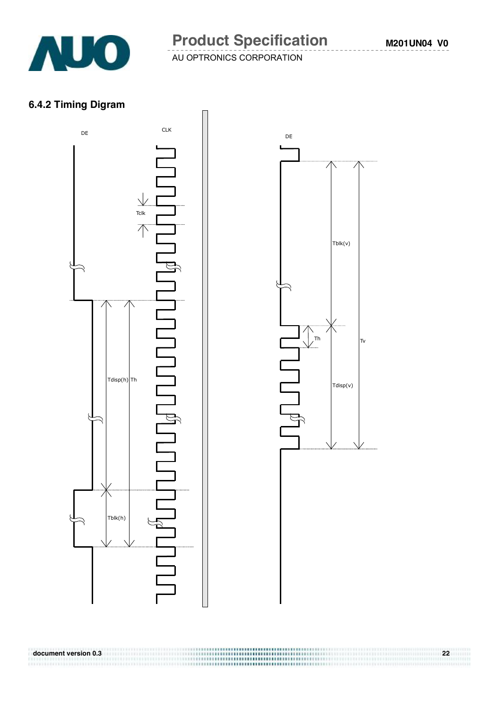

**document version 0.3 22** 

AU OPTRONICS CORPORATION

#### **6.4.2 Timing Digram**



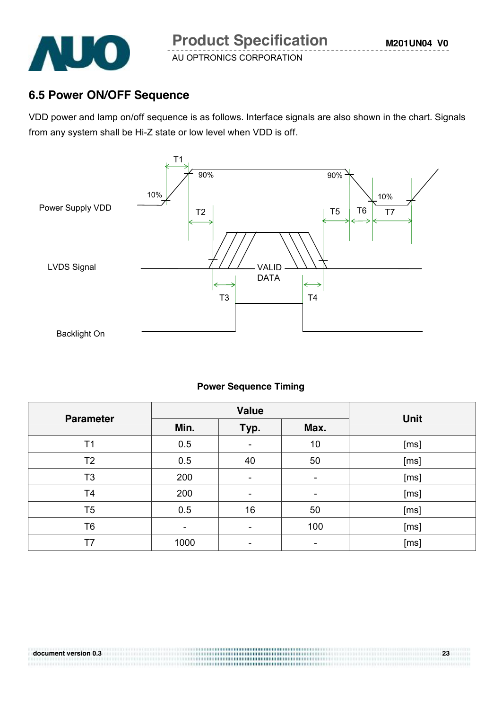

### **6.5 Power ON/OFF Sequence**

VDD power and lamp on/off sequence is as follows. Interface signals are also shown in the chart. Signals from any system shall be Hi-Z state or low level when VDD is off.



#### **Power Sequence Timing**

| <b>Parameter</b> |      | <b>Value</b>             | <b>Unit</b> |      |
|------------------|------|--------------------------|-------------|------|
|                  | Min. | Typ.                     | Max.        |      |
| T <sub>1</sub>   | 0.5  |                          | 10          | [ms] |
| T <sub>2</sub>   | 0.5  | 40                       | 50          | [ms] |
| T <sub>3</sub>   | 200  |                          | -           | [ms] |
| T <sub>4</sub>   | 200  | $\overline{\phantom{0}}$ |             | [ms] |
| T <sub>5</sub>   | 0.5  | 16                       | 50          | [ms] |
| T <sub>6</sub>   |      |                          | 100         | [ms] |
| T7               | 1000 | -                        |             | [ms] |

..................................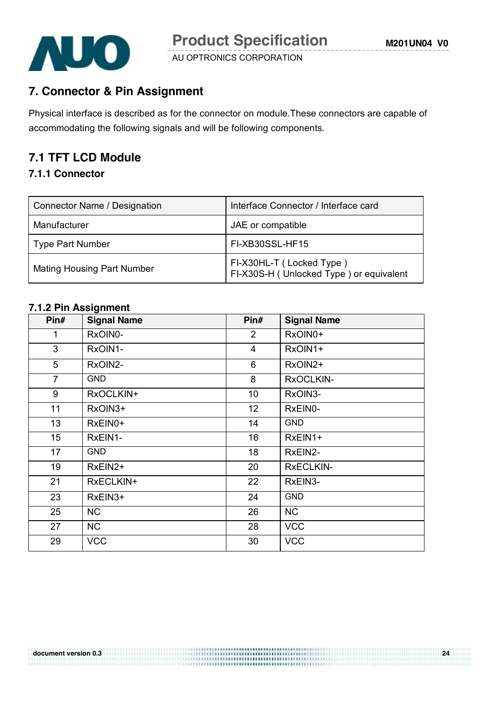

### **7. Connector & Pin Assignment**

Physical interface is described as for the connector on module.These connectors are capable of accommodating the following signals and will be following components.

### **7.1 TFT LCD Module**

#### **7.1.1 Connector**

| Connector Name / Designation      | Interface Connector / Interface card                                |
|-----------------------------------|---------------------------------------------------------------------|
| Manufacturer                      | JAE or compatible                                                   |
| <b>Type Part Number</b>           | FI-XB30SSL-HF15                                                     |
| <b>Mating Housing Part Number</b> | FI-X30HL-T (Locked Type)<br>FI-X30S-H (Unlocked Type) or equivalent |

#### **7.1.2 Pin Assignment**

| Pin#            | <b>Signal Name</b> | Pin#           | <b>Signal Name</b> |
|-----------------|--------------------|----------------|--------------------|
| 1               | RxOIN0-            | $\overline{2}$ | RxOIN0+            |
| 3               | RxOIN1-            | $\overline{4}$ | RxOIN1+            |
| 5               | RxOIN2-            | 6              | RxOIN2+            |
| $\overline{7}$  | <b>GND</b>         | 8              | RxOCLKIN-          |
| 9               | RxOCLKIN+          | 10             | RxOIN3-            |
| 11              | RxOIN3+            | 12             | RxEIN0-            |
| 13              | RxEIN0+            | 14             | <b>GND</b>         |
| 15 <sub>1</sub> | RxEIN1-            | 16             | RxEIN1+            |
| 17              | <b>GND</b>         | 18             | RxEIN2-            |
| 19              | RxEIN2+            | 20             | <b>RXECLKIN-</b>   |
| 21              | RxECLKIN+          | 22             | RxEIN3-            |
| 23              | RxEIN3+            | 24             | <b>GND</b>         |
| 25              | NC                 | 26             | <b>NC</b>          |
| 27              | <b>NC</b>          | 28             | <b>VCC</b>         |
| 29              | <b>VCC</b>         | 30             | <b>VCC</b>         |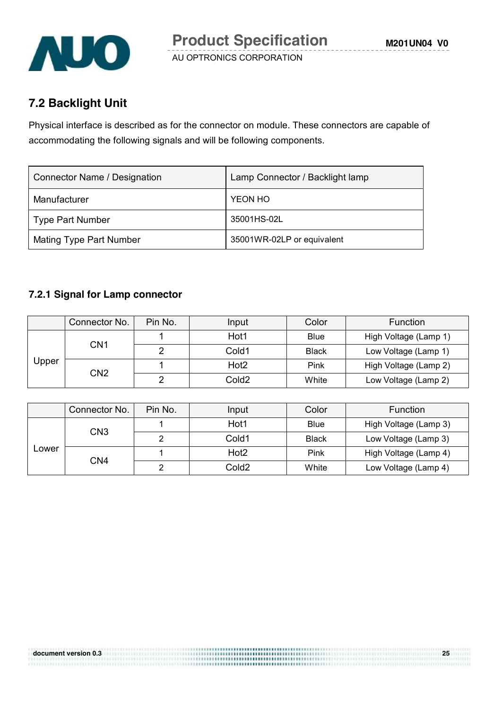

## **7.2 Backlight Unit**

Physical interface is described as for the connector on module. These connectors are capable of accommodating the following signals and will be following components.

| <b>Connector Name / Designation</b> | Lamp Connector / Backlight lamp |  |  |
|-------------------------------------|---------------------------------|--|--|
| Manufacturer                        | YEON HO                         |  |  |
| <b>Type Part Number</b>             | 35001HS-02L                     |  |  |
| <b>Mating Type Part Number</b>      | 35001WR-02LP or equivalent      |  |  |

#### **7.2.1 Signal for Lamp connector**

|       | Connector No. | Pin No.         | Input            | Color             | Function              |
|-------|---------------|-----------------|------------------|-------------------|-----------------------|
| Upper | CN1           |                 | Hot1             | Blue              | High Voltage (Lamp 1) |
|       |               |                 | Cold1            | <b>Black</b>      | Low Voltage (Lamp 1)  |
|       |               |                 | Hot <sub>2</sub> | Pink              | High Voltage (Lamp 2) |
|       |               | CN <sub>2</sub> | ົ                | Cold <sub>2</sub> | White                 |

|       | Connector No. | Pin No. | Input            | Color        | <b>Function</b>       |
|-------|---------------|---------|------------------|--------------|-----------------------|
| Lower | CN3           |         | Hot1             | <b>Blue</b>  | High Voltage (Lamp 3) |
|       |               |         | Cold1            | <b>Black</b> | Low Voltage (Lamp 3)  |
|       | CN4           |         | Hot <sub>2</sub> | Pink         | High Voltage (Lamp 4) |
|       |               | ◠       | Cold2            | White        | Low Voltage (Lamp 4)  |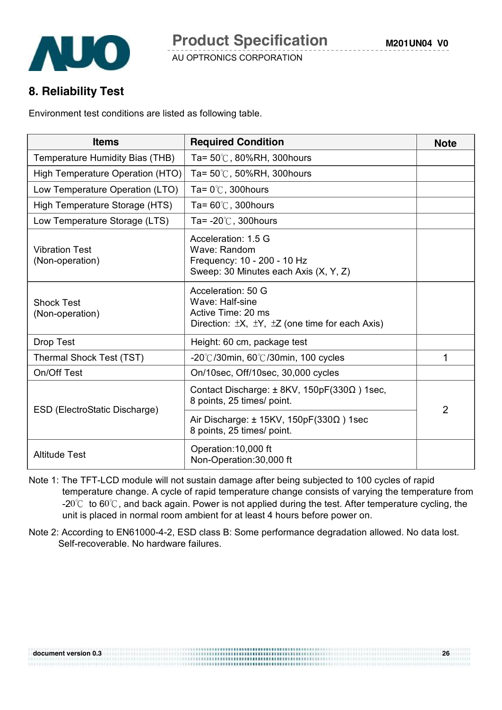

#### **8. Reliability Test**

Environment test conditions are listed as following table.

| <b>Items</b>                             | <b>Required Condition</b>                                                                                                      | <b>Note</b>    |
|------------------------------------------|--------------------------------------------------------------------------------------------------------------------------------|----------------|
| Temperature Humidity Bias (THB)          | Ta= $50^{\circ}$ C, 80%RH, 300 hours                                                                                           |                |
| High Temperature Operation (HTO)         | Ta= $50^{\circ}$ C, $50\%$ RH, 300 hours                                                                                       |                |
| Low Temperature Operation (LTO)          | Ta= $0^{\circ}$ C, 300 hours                                                                                                   |                |
| High Temperature Storage (HTS)           | Ta= $60^{\circ}$ C, 300 hours                                                                                                  |                |
| Low Temperature Storage (LTS)            | Ta= $-20^{\circ}$ C, 300 hours                                                                                                 |                |
| <b>Vibration Test</b><br>(Non-operation) | Acceleration: 1.5 G<br>Wave: Random<br>Frequency: 10 - 200 - 10 Hz<br>Sweep: 30 Minutes each Axis (X, Y, Z)                    |                |
| <b>Shock Test</b><br>(Non-operation)     | Acceleration: 50 G<br>Wave: Half-sine<br>Active Time: 20 ms<br>Direction: $\pm X$ , $\pm Y$ , $\pm Z$ (one time for each Axis) |                |
| Drop Test                                | Height: 60 cm, package test                                                                                                    |                |
| Thermal Shock Test (TST)                 | -20°C/30min, 60°C/30min, 100 cycles                                                                                            | 1              |
| On/Off Test                              | On/10sec, Off/10sec, 30,000 cycles                                                                                             |                |
|                                          | Contact Discharge: ± 8KV, 150pF(330Ω) 1sec,<br>8 points, 25 times/ point.                                                      | $\overline{2}$ |
| ESD (ElectroStatic Discharge)            | Air Discharge: $\pm$ 15KV, 150pF(330 $\Omega$ ) 1sec<br>8 points, 25 times/ point.                                             |                |
| <b>Altitude Test</b>                     | Operation: 10,000 ft<br>Non-Operation: 30,000 ft                                                                               |                |

- Note 1: The TFT-LCD module will not sustain damage after being subjected to 100 cycles of rapid temperature change. A cycle of rapid temperature change consists of varying the temperature from -20 $\degree$  to 60 $\degree$ C, and back again. Power is not applied during the test. After temperature cycling, the unit is placed in normal room ambient for at least 4 hours before power on.
- Note 2: According to EN61000-4-2, ESD class B: Some performance degradation allowed. No data lost. Self-recoverable. No hardware failures.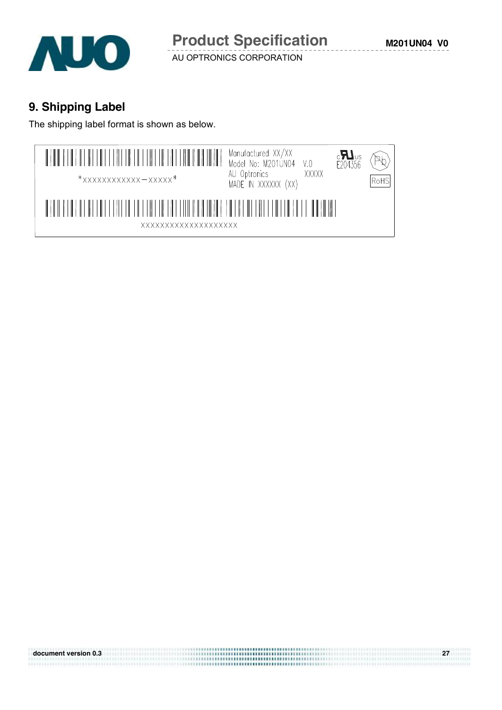

**M201UN04 V0**

AU OPTRONICS CORPORATION

# **9. Shipping Label**

The shipping label format is shown as below.



**document version 0.3 27**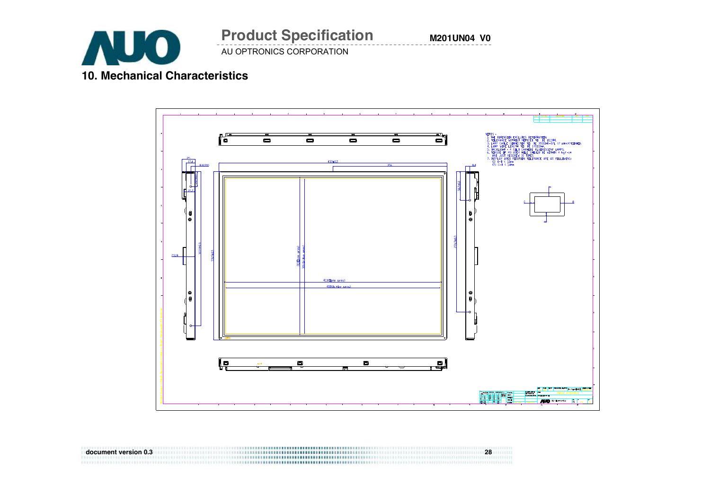

AU OPTRONICS CORPORATION **Product Specification** 

**M201UN04 V0**

### **10. Mechanical Characteristics**